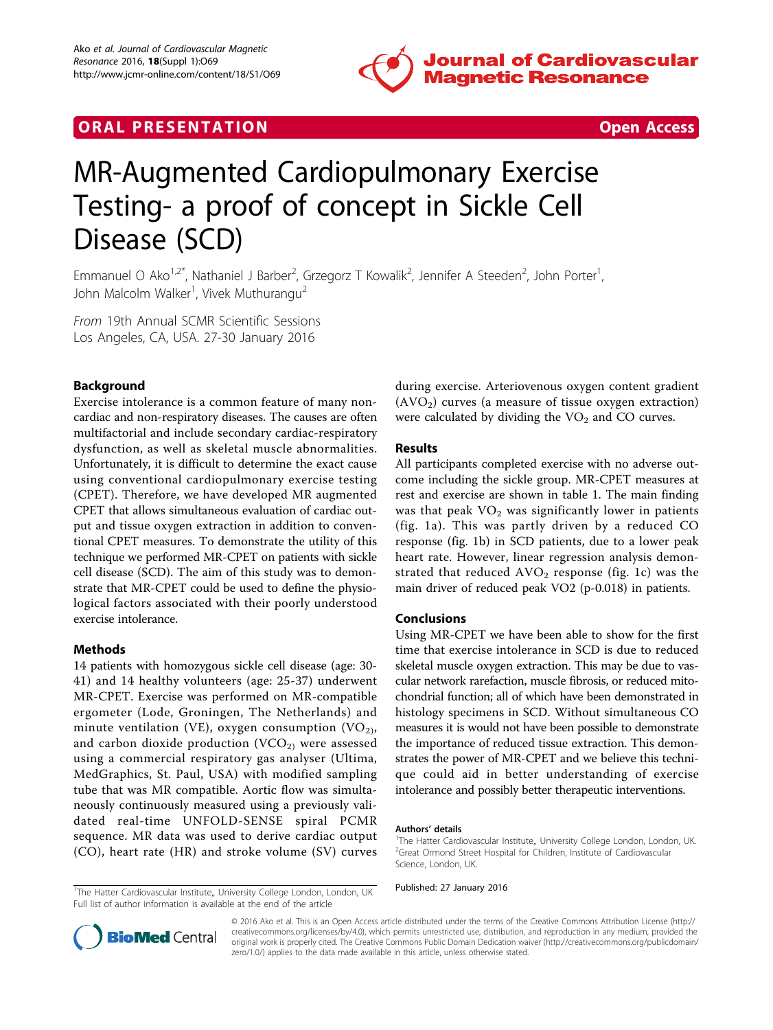

## **ORAL PRESENTATION CONSUMING ACCESS**



# MR-Augmented Cardiopulmonary Exercise Testing- a proof of concept in Sickle Cell Disease (SCD)

Emmanuel O Ako<sup>1,2\*</sup>, Nathaniel J Barber<sup>2</sup>, Grzegorz T Kowalik<sup>2</sup>, Jennifer A Steeden<sup>2</sup>, John Porter<sup>1</sup> , John Malcolm Walker<sup>1</sup>, Vivek Muthurangu<sup>2</sup>

From 19th Annual SCMR Scientific Sessions Los Angeles, CA, USA. 27-30 January 2016

## Background

Exercise intolerance is a common feature of many noncardiac and non-respiratory diseases. The causes are often multifactorial and include secondary cardiac-respiratory dysfunction, as well as skeletal muscle abnormalities. Unfortunately, it is difficult to determine the exact cause using conventional cardiopulmonary exercise testing (CPET). Therefore, we have developed MR augmented CPET that allows simultaneous evaluation of cardiac output and tissue oxygen extraction in addition to conventional CPET measures. To demonstrate the utility of this technique we performed MR-CPET on patients with sickle cell disease (SCD). The aim of this study was to demonstrate that MR-CPET could be used to define the physiological factors associated with their poorly understood exercise intolerance.

#### Methods

14 patients with homozygous sickle cell disease (age: 30- 41) and 14 healthy volunteers (age: 25-37) underwent MR-CPET. Exercise was performed on MR-compatible ergometer (Lode, Groningen, The Netherlands) and minute ventilation (VE), oxygen consumption (VO<sub>2)</sub>, and carbon dioxide production  $(VCO<sub>2</sub>)$  were assessed using a commercial respiratory gas analyser (Ultima, MedGraphics, St. Paul, USA) with modified sampling tube that was MR compatible. Aortic flow was simultaneously continuously measured using a previously validated real-time UNFOLD-SENSE spiral PCMR sequence. MR data was used to derive cardiac output (CO), heart rate (HR) and stroke volume (SV) curves during exercise. Arteriovenous oxygen content gradient  $(AVO<sub>2</sub>)$  curves (a measure of tissue oxygen extraction) were calculated by dividing the  $VO<sub>2</sub>$  and  $CO$  curves.

## Results

All participants completed exercise with no adverse outcome including the sickle group. MR-CPET measures at rest and exercise are shown in table [1](#page-1-0). The main finding was that peak  $VO<sub>2</sub>$  was significantly lower in patients (fig. [1a](#page-1-0)). This was partly driven by a reduced CO response (fig. [1b\)](#page-1-0) in SCD patients, due to a lower peak heart rate. However, linear regression analysis demonstrated that reduced  $AVO<sub>2</sub>$  response (fig. [1c\)](#page-1-0) was the main driver of reduced peak VO2 (p-0.018) in patients.

#### Conclusions

Using MR-CPET we have been able to show for the first time that exercise intolerance in SCD is due to reduced skeletal muscle oxygen extraction. This may be due to vascular network rarefaction, muscle fibrosis, or reduced mitochondrial function; all of which have been demonstrated in histology specimens in SCD. Without simultaneous CO measures it is would not have been possible to demonstrate the importance of reduced tissue extraction. This demonstrates the power of MR-CPET and we believe this technique could aid in better understanding of exercise intolerance and possibly better therapeutic interventions.

#### Authors' details <sup>1</sup>

<sup>1</sup>The Hatter Cardiovascular Institute,, University College London, London, UK Published: 27 January 2016 Full list of author information is available at the end of the article





© 2016 Ako et al. This is an Open Access article distributed under the terms of the Creative Commons Attribution License ([http://](http://creativecommons.org/licenses/by/4.0) [creativecommons.org/licenses/by/4.0](http://creativecommons.org/licenses/by/4.0)), which permits unrestricted use, distribution, and reproduction in any medium, provided the original work is properly cited. The Creative Commons Public Domain Dedication waiver ([http://creativecommons.org/publicdomain/](http://creativecommons.org/publicdomain/zero/1.0/) [zero/1.0/](http://creativecommons.org/publicdomain/zero/1.0/)) applies to the data made available in this article, unless otherwise stated.

<sup>&</sup>lt;sup>1</sup>The Hatter Cardiovascular Institute,, University College London, London, UK. <sup>2</sup>Great Ormond Street Hospital for Children, Institute of Cardiovascular Science, London, UK.